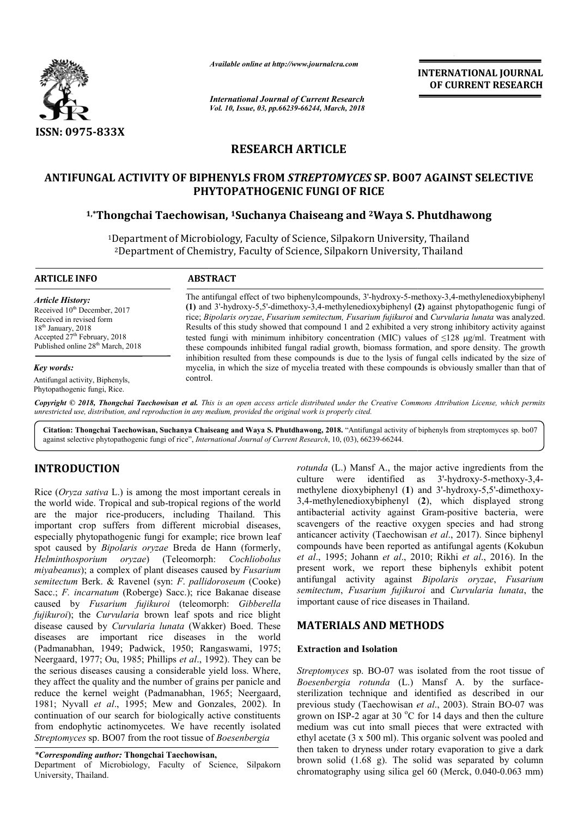

*Available online at http://www.journalcra.com*

*International Journal of Current Research Vol. 10, Issue, 03, pp.66239-66244, March, 2018* **INTERNATIONAL JOURNAL OF CURRENT RESEARCH**

# **RESEARCH ARTICLE**

# ANTIFUNGAL ACTIVITY OF BIPHENYLS FROM *STREPTOMYCES* SP. BO07 AGAINST SELECTIVE<br>PHYTOPATHOGENIC FUNGI OF RICE<br><sup>1,\*</sup>Thongchai Taechowisan, <sup>1</sup>Suchanya Chaiseang and <sup>2</sup>Waya S. Phutdhawong **PHYTOPATHOGENIC FUNGI OF RICE**

# **1,\*Thongchai Taechowisan, Thongchai 1Suchanya Chaiseang and 2Waya S. Phutdhawong**

<sup>1</sup>Department of Microbiology, Faculty of Science, Silpakorn University, Thailand Department of Microbiology, Faculty of Science, Silpakorn University, Thailan<br><sup>2</sup>Department of Chemistry, Faculty of Science, Silpakorn University, Thailand

#### **ARTICLE INFO ABSTRACT**

*Article History:* Received 10<sup>th</sup> December, 2017 Received in revised form 18<sup>th</sup> January, 2018 Accepted 27<sup>th</sup> February, 2018 Published online 28<sup>th</sup> March, 2018

*Key words:*

Antifungal activity, Biphenyls, Phytopathogenic fungi, Rice.

The an antifungal effect of two biphenylcompounds, 3'-hydroxy-5-methoxy methoxy-3,4-methylenedioxybiphenyl **(1)** and 3' 3'-hydroxy-5,5'-dimethoxy-3,4-methylenedioxybiphenyl **(2)** against phytopathogenic fungi of rice; *Bipolaris oryzae* , *Fusarium semitectum, Fusarium fujikuroi* and *Curvularia lunata* was analyzed. Results of this study showed that compound 1 and 2 exhibited a very strong inhibitory activity against Results of this study showed that compound 1 and 2 exhibited a very strong inhibitory activity against tested fungi with minimum inhibitory concentration (MIC) values of  $\leq$ 128  $\mu$ g/ml. Treatment with these compounds inhibited fungal radial growth, biomass formation, and spore density. The growth inhibition resulted from these compounds is due to the lysis of fungal cells indicated by the size of mycelia, in which the size of mycelia treated with these compounds is obviously smaller than that of control. these compounds inhibited fungal radial growth, biomass formation, and spore density. The inhibition resulted from these compounds is due to the lysis of fungal cells indicated by the mycelia, in which the size of mycelia

Copyright © 2018, Thongchai Taechowisan et al. This is an open access article distributed under the Creative Commons Attribution License, which permits *unrestricted use, distribution, and reproduction in any medium, provided the original work is properly cited.*

Citation: Thongchai Taechowisan, Suchanya Chaiseang and Waya S. Phutdhawong, 2018. "Antifungal activity of biphenyls from streptomyces sp. bo07 against selective phytopathogenic fungi of rice", *International Journal of Current Research* , 10, (03), 66239-66244.

# **INTRODUCTION**

Rice (*Oryza sativa* L.) is among the most important cereals in the world wide. Tropical and sub-tropical regions of the world the world wide. Tropical and sub-tropical regions of the world<br>are the major rice-producers, including Thailand. This important crop suffers from different microbial diseases, especially phytopathogenic fungi for example; rice brown leaf spot caused by *Bipolaris oryzae* Breda de Hann (formerly, *Helminthosporium oryzae*) (Teleomorph: *Cochliobolus miyabeanus*); a complex of plant diseases caused by *Fusarium semitectum* Berk. & Ravenel (syn: *F*. *pallidoroseum*  (Cooke) Sacc.; F. incarnatum (Roberge) Sacc.); rice Bakanae disease caused by *Fusarium fujikuroi* (teleomorph: *Gibberella fujikuroi*); the *Curvularia* brown leaf spots and rice blight disease caused by *Curvularia lunata* (Wakker) Boed. These diseases are important rice diseases in the world diseases are important rice diseases in the world<br>(Padmanabhan, 1949; Padwick, 1950; Rangaswami, 1975; Neergaard, 1977; Ou, 1985; Phillips *et al.*, 1992). They can be the serious diseases causing a considerable yield loss. Where, they affect the quality and the number of grains per panicle and reduce the kernel weight (Padmanabhan, 1965 , 1965; Neergaard, 1981; Nyvall et al., 1995; Mew and Gonzales, 2002). In continuation of our search for biologically active constituents from endophytic actinomycetes. We have recently isolated *Streptomyces* sp. BO07 from the root tissue of *Boesenbergia* 

*\*Corresponding author:* **Thongchai Taechowisan Taechowisan,**

Department of Microbiology, Faculty of Science, Silpakorn University, Thailand.

*rotunda* (L.) Mansf A., the major active ingredients from the rotunda (L.) Mansf A., the major active ingredients from the culture were identified as 3'-hydroxy-5-methoxy-3,4methylene dioxybiphenyl (1) and 3'-hydroxy-5,5'-dimethoxy-3,4-methylenedioxybiphenyl ( methylenedioxybiphenyl (**2**), which displayed strong antibacterial activity against Gram Gram-positive bacteria, were scavengers of the reactive oxygen species and had strong scavengers of the reactive oxygen species and had strong anticancer activity (Taechowisan *et al.*, 2017). Since biphenyl compounds have been reported as antifungal agents (Kokubun *et al*., 1995; Johann *et al*., 2010; Rikhi *et al*., 2016). In the present work, we report these biphenyls exhibit potent antifungal activity against *Bipolaris oryzae*, *Fusarium semitectum*, *Fusarium fujikuroi* and *Curvularia lunata*, the important cause of rice diseases in Thailand.

# **MATERIALS AND METHODS METHODS**

#### **Extraction and Isolation**

Streptomyces sp. BO-07 was isolated from the root tissue of *Boesenbergia rotunda* (L.) Mansf A. by the surfacesterilization technique and identified as described in our sterilization technique and identified as described in our previous study (Taechowisan *et al.*, 2003). Strain BO-07 was grown on ISP-2 agar at 30  $^{\circ}$ C for 14 days and then the culture medium was cut into small pieces that were extracted with ethyl acetate (3 x 500 ml). This organic solvent was pooled and then taken to dryness under rotary evaporation to give a dark medium was cut into small pieces that were extracted with ethyl acetate (3 x 500 ml). This organic solvent was pooled and then taken to dryness under rotary evaporation to give a dark brown solid (1.68 g). The solid was se chromatography using silica gel 60 (Merck, 0.040 0.040-0.063 mm)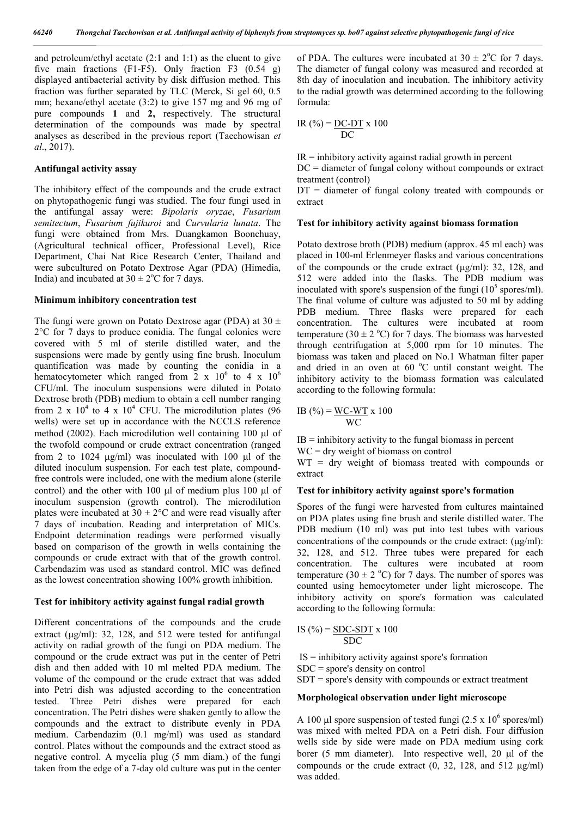and petroleum/ethyl acetate (2:1 and 1:1) as the eluent to give five main fractions (F1-F5). Only fraction F3 (0.54 g) displayed antibacterial activity by disk diffusion method. This fraction was further separated by TLC (Merck, Si gel 60, 0.5 mm; hexane/ethyl acetate (3:2) to give 157 mg and 96 mg of pure compounds **1** and **2,** respectively. The structural determination of the compounds was made by spectral analyses as described in the previous report (Taechowisan *et al*., 2017).

#### **Antifungal activity assay**

The inhibitory effect of the compounds and the crude extract on phytopathogenic fungi was studied. The four fungi used in the antifungal assay were: *Bipolaris oryzae*, *Fusarium semitectum*, *Fusarium fujikuroi* and *Curvularia lunata*. The fungi were obtained from Mrs. Duangkamon Boonchuay, (Agricultural technical officer, Professional Level), Rice Department, Chai Nat Rice Research Center, Thailand and were subcultured on Potato Dextrose Agar (PDA) (Himedia, India) and incubated at  $30 \pm 2$ <sup>o</sup>C for 7 days.

#### **Minimum inhibitory concentration test**

The fungi were grown on Potato Dextrose agar (PDA) at  $30 \pm$ 2°C for 7 days to produce conidia. The fungal colonies were covered with 5 ml of sterile distilled water, and the suspensions were made by gently using fine brush. Inoculum quantification was made by counting the conidia in a hematocytometer which ranged from  $2 \times 10^6$  to 4 x  $10^6$ CFU/ml. The inoculum suspensions were diluted in Potato Dextrose broth (PDB) medium to obtain a cell number ranging from 2 x  $10^4$  to 4 x  $10^4$  CFU. The microdilution plates (96) wells) were set up in accordance with the NCCLS reference method  $(2002)$ . Each microdilution well containing 100  $\mu$ l of the twofold compound or crude extract concentration (ranged from 2 to 1024  $\mu$ g/ml) was inoculated with 100  $\mu$ l of the diluted inoculum suspension. For each test plate, compoundfree controls were included, one with the medium alone (sterile control) and the other with  $100 \text{ µ}$  of medium plus  $100 \text{ µ}$  of inoculum suspension (growth control). The microdilution plates were incubated at  $30 \pm 2$ °C and were read visually after 7 days of incubation. Reading and interpretation of MICs. Endpoint determination readings were performed visually based on comparison of the growth in wells containing the compounds or crude extract with that of the growth control. Carbendazim was used as standard control. MIC was defined as the lowest concentration showing 100% growth inhibition.

#### **Test for inhibitory activity against fungal radial growth**

Different concentrations of the compounds and the crude extract ( $\mu$ g/ml): 32, 128, and 512 were tested for antifungal activity on radial growth of the fungi on PDA medium. The compound or the crude extract was put in the center of Petri dish and then added with 10 ml melted PDA medium. The volume of the compound or the crude extract that was added into Petri dish was adjusted according to the concentration tested. Three Petri dishes were prepared for each concentration. The Petri dishes were shaken gently to allow the compounds and the extract to distribute evenly in PDA medium. Carbendazim (0.1 mg/ml) was used as standard control. Plates without the compounds and the extract stood as negative control. A mycelia plug (5 mm diam.) of the fungi taken from the edge of a 7-day old culture was put in the center

of PDA. The cultures were incubated at  $30 \pm 2^{\circ}$ C for 7 days. The diameter of fungal colony was measured and recorded at 8th day of inoculation and incubation. The inhibitory activity to the radial growth was determined according to the following formula:

$$
IR\left(\frac{0}{6}\right) = \frac{DC-DT}{DC} \times 100
$$

 $IR =$  inhibitory activity against radial growth in percent

 $DC = diameter of fungal colony without compounds or extract$ treatment (control)

 $DT = diameter of fungal colony treated with compounds or$ extract

#### **Test for inhibitory activity against biomass formation**

Potato dextrose broth (PDB) medium (approx. 45 ml each) was placed in 100-ml Erlenmeyer flasks and various concentrations of the compounds or the crude extract ( $\mu$ g/ml): 32, 128, and 512 were added into the flasks. The PDB medium was inoculated with spore's suspension of the fungi  $(10^5 \text{ spores/ml})$ . The final volume of culture was adjusted to 50 ml by adding PDB medium. Three flasks were prepared for each concentration. The cultures were incubated at room temperature (30  $\pm$  2 °C) for 7 days. The biomass was harvested through centrifugation at 5,000 rpm for 10 minutes. The biomass was taken and placed on No.1 Whatman filter paper and dried in an oven at 60 °C until constant weight. The inhibitory activity to the biomass formation was calculated according to the following formula:

IB (
$$
\%
$$
) = WC-WT x 100  
WC

 $IB =$  inhibitory activity to the fungal biomass in percent

WC = dry weight of biomass on control

WT = dry weight of biomass treated with compounds or extract

#### **Test for inhibitory activity against spore's formation**

Spores of the fungi were harvested from cultures maintained on PDA plates using fine brush and sterile distilled water. The PDB medium (10 ml) was put into test tubes with various concentrations of the compounds or the crude extract:  $(\mu g/ml)$ : 32, 128, and 512. Three tubes were prepared for each concentration. The cultures were incubated at room temperature (30  $\pm$  2 °C) for 7 days. The number of spores was counted using hemocytometer under light microscope. The inhibitory activity on spore's formation was calculated according to the following formula:

IS (
$$
\%
$$
) = SDC-SDT x 100  
SDC

- $IS =$  inhibitory activity against spore's formation
- SDC = spore's density on control
- SDT = spore's density with compounds or extract treatment

#### **Morphological observation under light microscope**

A 100 µl spore suspension of tested fungi (2.5 x  $10^6$  spores/ml) was mixed with melted PDA on a Petri dish. Four diffusion wells side by side were made on PDA medium using cork borer (5 mm diameter). Into respective well, 20  $\mu$ l of the compounds or the crude extract  $(0, 32, 128, \text{ and } 512 \text{ µg/ml})$ was added.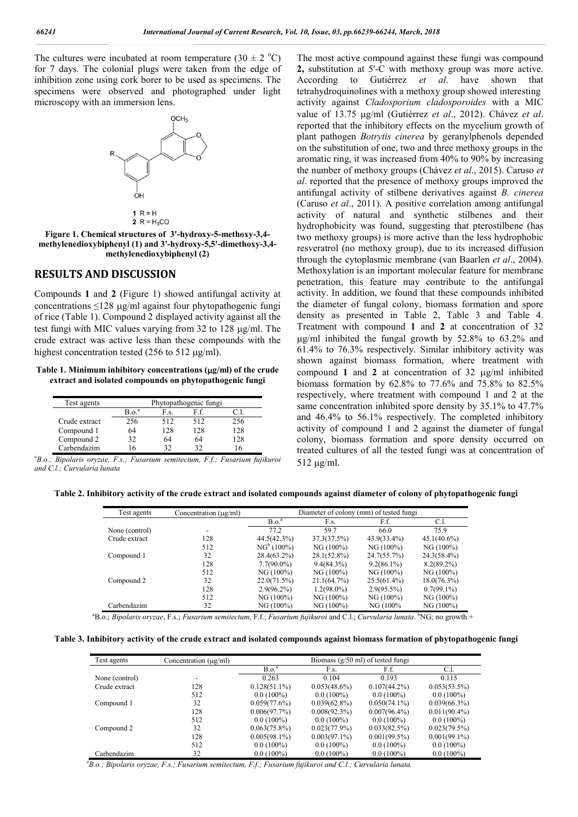The cultures were incubated at room temperature  $(30 \pm 2 \degree C)$ for 7 days. The colonial plugs were taken from the edge of inhibition zone using cork borer to be used as specimens. The specimens were observed and photographed under light microscopy with an immersion lens.



**Figure 1. Chemical structures of 3'-hydroxy-5-methoxy-3,4 methylenedioxybiphenyl (1) and 3'-hydroxy-5,5'-dimethoxy-3,4 methylenedioxybiphenyl (2)**

### **RESULTS AND DISCUSSION**

Compounds **1** and **2** (Figure 1) showed antifungal activity at concentrations  $\leq 128$  µg/ml against four phytopathogenic fungi of rice (Table 1). Compound 2 displayed activity against all the test fungi with MIC values varying from  $32$  to  $128 \mu g/ml$ . The crude extract was active less than these compounds with the highest concentration tested  $(256 \text{ to } 512 \text{ µg/ml})$ .

Table 1. Minimum inhibitory concentrations ( $\mu$ g/ml) of the crude **extract and isolated compounds on phytopathogenic fungi**

| Test agents   | Phytopathogenic fungi |      |      |     |
|---------------|-----------------------|------|------|-----|
|               | B.o. <sup>a</sup>     | F.s. | F.f. |     |
| Crude extract | 256                   | 512  | 512  | 256 |
| Compound 1    | 64                    | 128  | 128  | 128 |
| Compound 2    | 32                    | 64   | 64   | 128 |
| Carbendazim   | h                     | 37   | 32   | 16  |

*a B.o.; Bipolaris oryzae, F.s.; Fusarium semitectum, F.f.; Fusarium fujikuroi and C.l.; Curvularia lunata*

The most active compound against these fungi was compound **2,** substitution at 5'-C with methoxy group was more active. According to Gutiérrez *et al*. have shown that tetrahydroquinolines with a methoxy group showed interesting activity against *Cladosporium cladosporoides* with a MIC value of 13.75 ug/ml (Gutiérrez *et al.*, 2012). Chávez *et al.* reported that the inhibitory effects on the mycelium growth of plant pathogen *Botrytis cinerea* by geranylphenols depended on the substitution of one, two and three methoxy groups in the aromatic ring, it was increased from 40% to 90% by increasing the number of methoxy groups (Chávez *et al*., 2015). Caruso *et al*. reported that the presence of methoxy groups improved the antifungal activity of stilbene derivatives against *B. cinerea* (Caruso *et al*., 2011). A positive correlation among antifungal activity of natural and synthetic stilbenes and their hydrophobicity was found, suggesting that pterostilbene (has two methoxy groups) is more active than the less hydrophobic resveratrol (no methoxy group), due to its increased diffusion through the cytoplasmic membrane (van Baarlen *et al*., 2004). Methoxylation is an important molecular feature for membrane penetration, this feature may contribute to the antifungal activity. In addition, we found that these compounds inhibited the diameter of fungal colony, biomass formation and spore density as presented in Table 2, Table 3 and Table 4. Treatment with compound **1** and **2** at concentration of 32  $\mu$ g/ml inhibited the fungal growth by 52.8% to 63.2% and 61.4% to 76.3% respectively. Similar inhibitory activity was shown against biomass formation, where treatment with compound 1 and 2 at concentration of 32  $\mu$ g/ml inhibited biomass formation by 62.8% to 77.6% and 75.8% to 82.5% respectively, where treatment with compound 1 and 2 at the same concentration inhibited spore density by 35.1% to 47.7% and 46.4% to 56.1% respectively. The completed inhibitory activity of compound 1 and 2 against the diameter of fungal colony, biomass formation and spore density occurred on treated cultures of all the tested fungi was at concentration of  $512 \text{ µg/ml}.$ 

#### **Table 2. Inhibitory activity of the crude extract and isolated compounds against diameter of colony of phytopathogenic fungi**

| Test agents    | Concentration $(\mu g/ml)$ | Diameter of colony (mm) of tested fungi |                |                |                |  |
|----------------|----------------------------|-----------------------------------------|----------------|----------------|----------------|--|
|                |                            | B.o. <sup>a</sup>                       | F.s.           | F.f.           | C.I.           |  |
| None (control) |                            | 77.2                                    | 59.7           | 66.0           | 75.9           |  |
| Crude extract  | 128                        | 44.5(42.3%)                             | 37.3(37.5%)    | $43.9(33.4\%)$ | $45.1(40.6\%)$ |  |
|                | 512                        | $NG^b(100\%)$                           | NG (100%)      | NG (100%)      | $NG (100\%)$   |  |
| Compound 1     | 32                         | 28.4(63.2%)                             | $28.1(52.8\%)$ | 24.7(55.7%)    | $24.3(58.4\%)$ |  |
|                | 128                        | $7.7(90.0\%)$                           | 9.4(84.3%)     | $9.2(86.1\%)$  | $8.2(89.2\%)$  |  |
|                | 512                        | NG (100%)                               | NG (100%)      | NG (100%)      | $NG (100\%)$   |  |
| Compound 2     | 32                         | 22.0(71.5%)                             | 21.1(64.7%)    | $25.5(61.4\%)$ | 18.0(76.3%)    |  |
|                | 128                        | $2.9(96.2\%)$                           | $1.2(98.0\%)$  | $2.9(95.5\%)$  | $0.7(99.1\%)$  |  |
|                | 512                        | NG (100%)                               | NG (100%)      | NG (100%)      | NG (100%)      |  |
| Carbendazim    | 32                         | NG (100%)                               | NG (100%)      | NG (100%)      | NG (100%)      |  |

a a contra a contra a la B.o.; *Bipolaris oryzae*, F.s.; *Fusarium semitectum*, F.f.; *Fusarium fujikuroi* and C.l.; *Curvularia lunata*. <sup>b</sup>NG; no growth.+

**Table 3. Inhibitory activity of the crude extract and isolated compounds against biomass formation of phytopathogenic fungi**

| Test agents    | Concentration $(\mu g/ml)$ | Biomass $(g/50 \text{ ml})$ of tested fungi |                 |                 |                 |  |
|----------------|----------------------------|---------------------------------------------|-----------------|-----------------|-----------------|--|
|                |                            | B.o. <sup>a</sup>                           | F.s.            | F.f.            | C.l.            |  |
| None (control) |                            | 0.263                                       | 0.104           | 0.193           | 0.115           |  |
| Crude extract  | 128                        | $0.128(51.1\%)$                             | $0.053(48.6\%)$ | $0.107(44.2\%)$ | $0.053(53.5\%)$ |  |
|                | 512                        | $0.0(100\%)$                                | $0.0(100\%)$    | $0.0(100\%)$    | $0.0(100\%)$    |  |
| Compound 1     | 32                         | 0.059(77.6%)                                | $0.039(62.8\%)$ | $0.050(74.1\%)$ | $0.039(66.3\%)$ |  |
|                | 128                        | 0.006(97.7%)                                | $0.008(92.3\%)$ | $0.007(96.4\%)$ | $0.011(90.4\%)$ |  |
|                | 512                        | $0.0(100\%)$                                | $0.0(100\%)$    | $0.0(100\%)$    | $0.0(100\%)$    |  |
| Compound 2     | 32                         | $0.063(75.8\%)$                             | $0.023(77.9\%)$ | 0.033(82.5%)    | $0.023(79.5\%)$ |  |
|                | 128                        | $0.005(98.1\%)$                             | $0.003(97.1\%)$ | $0.001(99.5\%)$ | $0.001(99.1\%)$ |  |
|                | 512                        | $0.0(100\%)$                                | $0.0(100\%)$    | $0.0(100\%)$    | $0.0(100\%)$    |  |
| Carbendazim    | 32                         | $0.0(100\%)$                                | $0.0(100\%)$    | $0.0(100\%)$    | $0.0(100\%)$    |  |

 *<sup>a</sup> B.o.; Bipolaris oryzae, F.s.; Fusarium semitectum, F.f.; Fusarium fujikuroi and C.l.; Curvularia lunata.*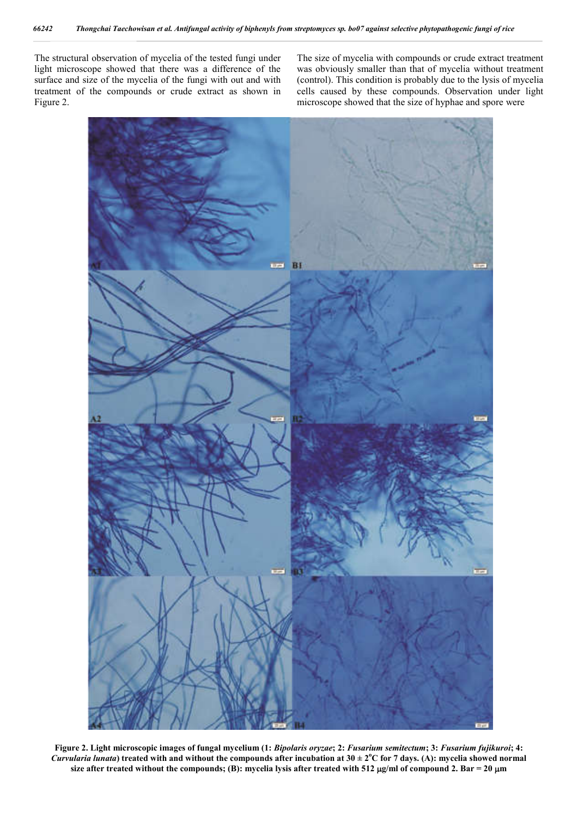The structural observation of mycelia of the tested fungi under light microscope showed that there was a difference of the surface and size of the mycelia of the fungi with out and with treatment of the compounds or crude extract as shown in Figure 2.

The size of mycelia with compounds or crude extract treatment was obviously smaller than that of mycelia without treatment (control). This condition is probably due to the lysis of mycelia cells caused by these compounds. Observation under light microscope showed that the size of hyphae and spore were



**Figure 2. Light microscopic images of fungal mycelium (1:** *Bipolaris oryzae***; 2:** *Fusarium semitectum***; 3:** *Fusarium fujikuroi***; 4:** *Curvularia lunata*) treated with and without the compounds after incubation at  $30 \pm 2^{\circ}$ C for 7 days. (A): mycelia showed normal **size after treated without the compounds; (B): mycelia lysis after treated with 512 g/ml of compound 2. Bar = 20 m**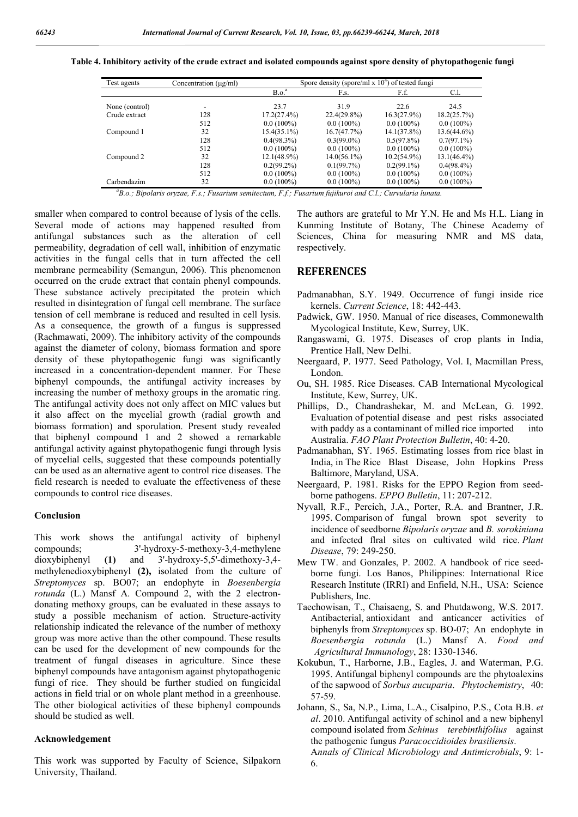| Test agents    | Concentration $(\mu\alpha/m)$ | Spore density (spore/ml x $104$ ) of tested fungi |               |                |               |  |
|----------------|-------------------------------|---------------------------------------------------|---------------|----------------|---------------|--|
|                |                               | B.o. <sup>a</sup>                                 | F.s.          | F.f.           | C.l.          |  |
| None (control) | -                             | 23.7                                              | 31.9          | 22.6           | 24.5          |  |
| Crude extract  | 128                           | 17.2(27.4%)                                       | 22.4(29.8%)   | 16.3(27.9%)    | 18.2(25.7%)   |  |
|                | 512                           | $0.0(100\%)$                                      | $0.0(100\%)$  | $0.0(100\%)$   | $0.0(100\%)$  |  |
| Compound 1     | 32                            | $15.4(35.1\%)$                                    | 16.7(47.7%)   | $14.1(37.8\%)$ | 13.6(44.6%)   |  |
|                | 128                           | $0.4(98.3\%)$                                     | $0.3(99.0\%)$ | $0.5(97.8\%)$  | $0.7(97.1\%)$ |  |
|                | 512                           | $0.0(100\%)$                                      | $0.0(100\%)$  | $0.0(100\%)$   | $0.0(100\%)$  |  |
| Compound 2     | 32                            | $12.1(48.9\%)$                                    | 14.0(56.1%)   | $10.2(54.9\%)$ | 13.1(46.4%)   |  |
|                | 128                           | $0.2(99.2\%)$                                     | 0.1(99.7%)    | $0.2(99.1\%)$  | $0.4(98.4\%)$ |  |
|                | 512                           | $0.0(100\%)$                                      | $0.0(100\%)$  | $0.0(100\%)$   | $0.0(100\%)$  |  |
| Carbendazim    | 32                            | $0.0(100\%)$                                      | $0.0(100\%)$  | $0.0(100\%)$   | $0.0(100\%)$  |  |

**Table 4. Inhibitory activity of the crude extract and isolated compounds against spore density of phytopathogenic fungi**

 *<sup>a</sup> B.o.; Bipolaris oryzae, F.s.; Fusarium semitectum, F.f.; Fusarium fujikuroi and C.l.; Curvularia lunata.*

smaller when compared to control because of lysis of the cells. Several mode of actions may happened resulted from antifungal substances such as the alteration of cell permeability, degradation of cell wall, inhibition of enzymatic activities in the fungal cells that in turn affected the cell membrane permeability (Semangun, 2006). This phenomenon occurred on the crude extract that contain phenyl compounds. These substance actively precipitated the protein which resulted in disintegration of fungal cell membrane. The surface tension of cell membrane is reduced and resulted in cell lysis. As a consequence, the growth of a fungus is suppressed (Rachmawati, 2009). The inhibitory activity of the compounds against the diameter of colony, biomass formation and spore density of these phytopathogenic fungi was significantly increased in a concentration-dependent manner. For These biphenyl compounds, the antifungal activity increases by increasing the number of methoxy groups in the aromatic ring. The antifungal activity does not only affect on MIC values but it also affect on the mycelial growth (radial growth and biomass formation) and sporulation. Present study revealed that biphenyl compound 1 and 2 showed a remarkable antifungal activity against phytopathogenic fungi through lysis of mycelial cells, suggested that these compounds potentially can be used as an alternative agent to control rice diseases. The field research is needed to evaluate the effectiveness of these compounds to control rice diseases.

#### **Conclusion**

This work shows the antifungal activity of biphenyl compounds; 3'-hydroxy-5-methoxy-3,4-methylene dioxybiphenyl **(1)** and 3'-hydroxy-5,5'-dimethoxy-3,4 methylenedioxybiphenyl **(2),** isolated from the culture of *Streptomyces* sp. BO07; an endophyte in *Boesenbergia rotunda* (L.) Mansf A. Compound 2, with the 2 electrondonating methoxy groups, can be evaluated in these assays to study a possible mechanism of action. Structure-activity relationship indicated the relevance of the number of methoxy group was more active than the other compound. These results can be used for the development of new compounds for the treatment of fungal diseases in agriculture. Since these biphenyl compounds have antagonism against phytopathogenic fungi of rice. They should be further studied on fungicidal actions in field trial or on whole plant method in a greenhouse. The other biological activities of these biphenyl compounds should be studied as well.

#### **Acknowledgement**

This work was supported by Faculty of Science, Silpakorn University, Thailand.

The authors are grateful to Mr Y.N. He and Ms H.L. Liang in Kunming Institute of Botany, The Chinese Academy of Sciences, China for measuring NMR and MS data, respectively.

## **REFERENCES**

- Padmanabhan, S.Y. 1949. Occurrence of fungi inside rice kernels. *Current Science*, 18: 442-443.
- Padwick, GW. 1950. Manual of rice diseases, Commonewalth Mycological Institute, Kew, Surrey, UK.
- Rangaswami, G. 1975. Diseases of crop plants in India, Prentice Hall, New Delhi.
- Neergaard, P. 1977. Seed Pathology, Vol. I, Macmillan Press, London.
- Ou, SH. 1985. Rice Diseases. CAB International Mycological Institute, Kew, Surrey, UK.
- Phillips, D., Chandrashekar, M. and McLean, G. 1992. Evaluation of potential disease and pest risks associated with paddy as a contaminant of milled rice imported into Australia. *FAO Plant Protection Bulletin*, 40: 4-20.
- Padmanabhan, SY. 1965. Estimating losses from rice blast in India, in The Rice Blast Disease, John Hopkins Press Baltimore, Maryland, USA.
- Neergaard, P. 1981. Risks for the EPPO Region from seedborne pathogens. *EPPO Bulletin*, 11: 207-212.
- Nyvall, R.F., Percich, J.A., Porter, R.A. and Brantner, J.R. 1995. Comparison of fungal brown spot severity to incidence of seedborne *Bipolaris oryzae* and *B. sorokiniana* and infected flral sites on cultivated wild rice. *Plant Disease*, 79: 249-250.
- Mew TW. and Gonzales, P. 2002. A handbook of rice seedborne fungi. Los Banos, Philippines: International Rice Research Institute (IRRI) and Enfield, N.H., USA: Science Publishers, Inc.
- Taechowisan, T., Chaisaeng, S. and Phutdawong, W.S. 2017. Antibacterial, antioxidant and anticancer activities of biphenyls from *Streptomyces* sp. BO-07; An endophyte in *Boesenbergia rotunda* (L.) Mansf A. *Food and Agricultural Immunology*, 28: 1330-1346.
- Kokubun, T., Harborne, J.B., Eagles, J. and Waterman, P.G. 1995. Antifungal biphenyl compounds are the phytoalexins of the sapwood of *Sorbus aucuparia*. *Phytochemistry*, 40: 57-59.
- Johann, S., Sa, N.P., Lima, L.A., Cisalpino, P.S., Cota B.B. *et al*. 2010. Antifungal activity of schinol and a new biphenyl compound isolated from *Schinus terebinthifolius* against the pathogenic fungus *Paracoccidioides brasiliensis*.

A*nnals of Clinical Microbiology and Antimicrobials*, 9: 1- 6.